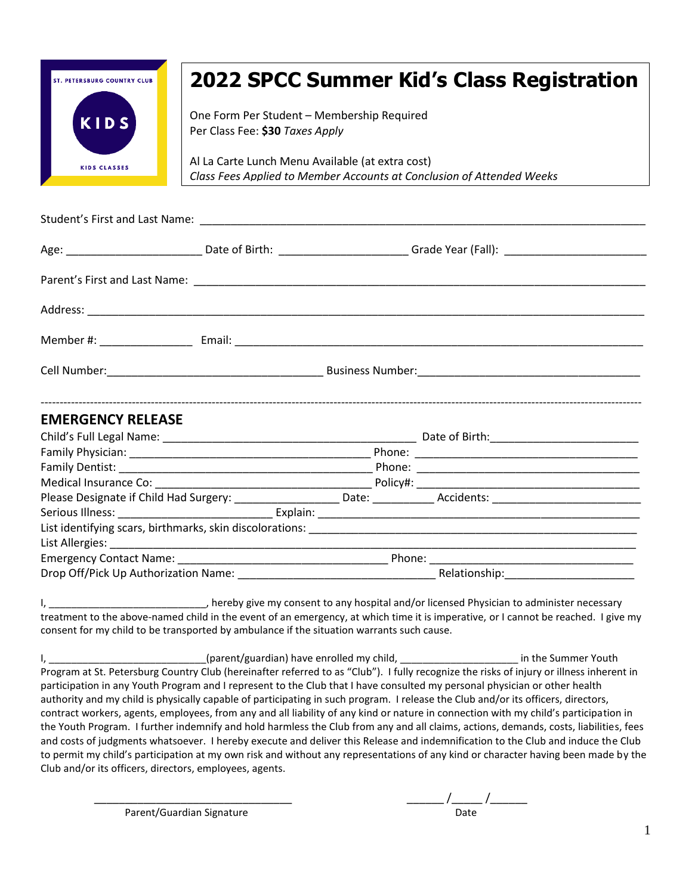

## **2022 SPCC Summer Kid's Class Registration**

One Form Per Student – Membership Required Per Class Fee: **\$30** *Taxes Apply*

Al La Carte Lunch Menu Available (at extra cost) *Class Fees Applied to Member Accounts at Conclusion of Attended Weeks*

| <b>EMERGENCY RELEASE</b> |  |  |
|--------------------------|--|--|
|                          |  |  |
|                          |  |  |
|                          |  |  |
|                          |  |  |
|                          |  |  |
|                          |  |  |
|                          |  |  |
|                          |  |  |
|                          |  |  |
|                          |  |  |

I, \_\_\_\_\_\_\_\_\_\_\_\_\_\_\_\_\_\_\_\_\_\_\_\_\_\_\_, hereby give my consent to any hospital and/or licensed Physician to administer necessary treatment to the above-named child in the event of an emergency, at which time it is imperative, or I cannot be reached. I give my consent for my child to be transported by ambulance if the situation warrants such cause.

I, \_\_\_\_\_\_\_\_\_\_\_\_\_\_\_\_\_\_\_\_\_\_\_\_\_\_\_\_\_\_(parent/guardian) have enrolled my child, \_\_\_\_\_\_\_\_\_\_\_\_\_\_\_\_\_\_\_\_\_\_\_\_\_\_\_\_\_\_\_ in the Summer Youth Program at St. Petersburg Country Club (hereinafter referred to as "Club"). I fully recognize the risks of injury or illness inherent in participation in any Youth Program and I represent to the Club that I have consulted my personal physician or other health authority and my child is physically capable of participating in such program. I release the Club and/or its officers, directors, contract workers, agents, employees, from any and all liability of any kind or nature in connection with my child's participation in the Youth Program. I further indemnify and hold harmless the Club from any and all claims, actions, demands, costs, liabilities, fees and costs of judgments whatsoever. I hereby execute and deliver this Release and indemnification to the Club and induce the Club to permit my child's participation at my own risk and without any representations of any kind or character having been made by the Club and/or its officers, directors, employees, agents.

Parent/Guardian Signature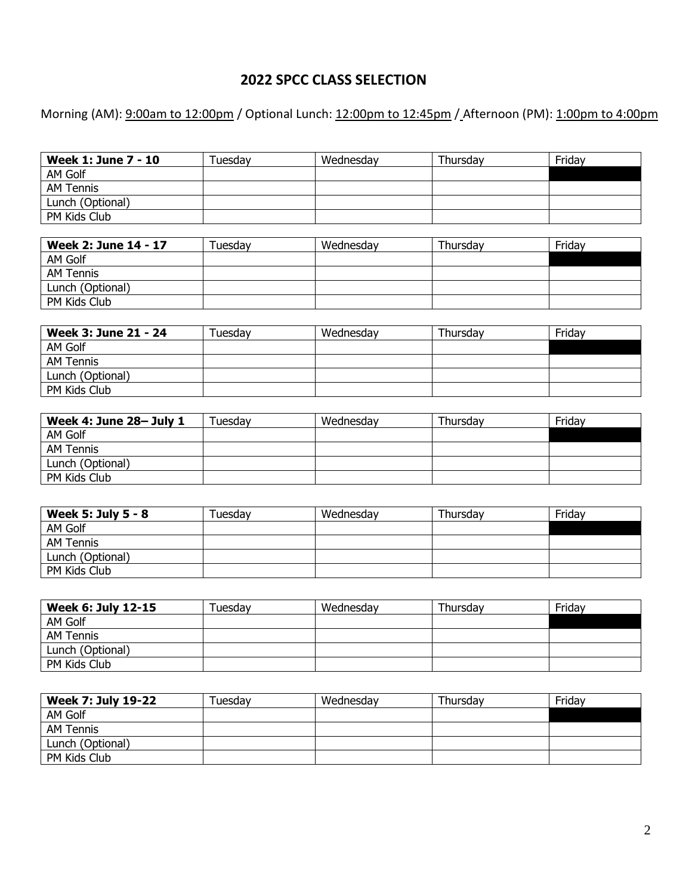## **2022 SPCC CLASS SELECTION**

Morning (AM): 9:00am to 12:00pm / Optional Lunch: 12:00pm to 12:45pm / Afternoon (PM): 1:00pm to 4:00pm

| <b>Week 1: June 7 - 10</b>  | Tuesday | Wednesday | Thursday | Friday |
|-----------------------------|---------|-----------|----------|--------|
| AM Golf                     |         |           |          |        |
| <b>AM Tennis</b>            |         |           |          |        |
| Lunch (Optional)            |         |           |          |        |
| PM Kids Club                |         |           |          |        |
|                             |         |           |          |        |
| <b>Week 2: June 14 - 17</b> | Tuesday | Wednesday | Thursday | Friday |
| AM Golf                     |         |           |          |        |
| <b>AM Tennis</b>            |         |           |          |        |
| Lunch (Optional)            |         |           |          |        |
| PM Kids Club                |         |           |          |        |
|                             |         |           |          |        |
| Week 3: June 21 - 24        | Tuesday | Wednesday | Thursday | Friday |
| AM Golf                     |         |           |          |        |
| <b>AM Tennis</b>            |         |           |          |        |
| Lunch (Optional)            |         |           |          |        |
| PM Kids Club                |         |           |          |        |
|                             |         |           |          |        |
| Week 4: June 28- July 1     | Tuesday | Wednesday | Thursday | Friday |
| AM Golf                     |         |           |          |        |
| <b>AM Tennis</b>            |         |           |          |        |
| Lunch (Optional)            |         |           |          |        |
| PM Kids Club                |         |           |          |        |
|                             |         |           |          |        |
| <b>Week 5: July 5 - 8</b>   | Tuesday | Wednesday | Thursday | Friday |
| AM Golf                     |         |           |          |        |
| <b>AM Tennis</b>            |         |           |          |        |
| Lunch (Optional)            |         |           |          |        |
| PM Kids Club                |         |           |          |        |
|                             |         |           |          |        |
|                             |         |           |          |        |
| <b>Week 6: July 12-15</b>   | Tuesday | Wednesday | Thursday | Friday |

| Week 6: July 12-15 | Tuesdav | Wednesdav | Thursdav | Fridav |
|--------------------|---------|-----------|----------|--------|
| AM Golf            |         |           |          |        |
| AM Tennis          |         |           |          |        |
| Lunch (Optional)   |         |           |          |        |
| PM Kids Club       |         |           |          |        |

| <b>Week 7: July 19-22</b> | Tuesday | Wednesday | Thursdav | Friday |
|---------------------------|---------|-----------|----------|--------|
| AM Golf                   |         |           |          |        |
| AM Tennis                 |         |           |          |        |
| Lunch (Optional)          |         |           |          |        |
| PM Kids Club              |         |           |          |        |